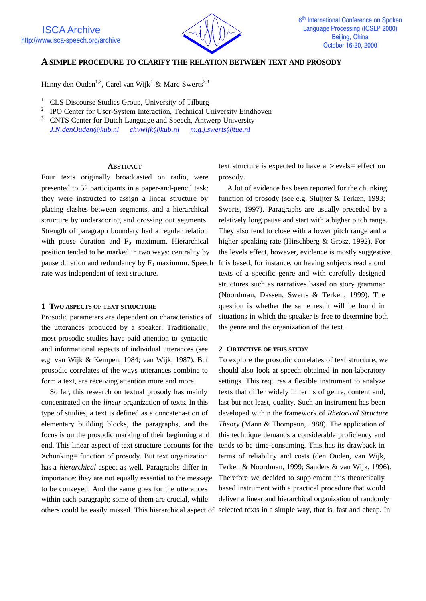

# **A SIMPLE PROCEDURE TO CLARIFY THE RELATION BETWEEN TEXT AND PROSODY**

Hanny den Ouden<sup>1,2</sup>, Carel van Wijk<sup>1</sup> & Marc Swerts<sup>2,3</sup>

- <sup>1</sup> CLS Discourse Studies Group, University of Tilburg
- 2 IPO Center for User-System Interaction, Technical University Eindhoven
- <sup>3</sup> CNTS Center for Dutch Language and Speech, Antwerp University *J.N.denOuden@kub.nl chvwijk@kub.nl m.g.j.swerts@tue.nl*

#### **ABSTRACT**

Four texts originally broadcasted on radio, were presented to 52 participants in a paper-and-pencil task: they were instructed to assign a linear structure by placing slashes between segments, and a hierarchical structure by underscoring and crossing out segments. Strength of paragraph boundary had a regular relation with pause duration and  $F_0$  maximum. Hierarchical position tended to be marked in two ways: centrality by pause duration and redundancy by  $F_0$  maximum. Speech rate was independent of text structure.

#### **1 TWO ASPECTS OF TEXT STRUCTURE**

Prosodic parameters are dependent on characteristics of the utterances produced by a speaker. Traditionally, most prosodic studies have paid attention to syntactic and informational aspects of individual utterances (see e.g. van Wijk & Kempen, 1984; van Wijk, 1987). But prosodic correlates of the ways utterances combine to form a text, are receiving attention more and more.

So far, this research on textual prosody has mainly concentrated on the *linear* organization of texts. In this type of studies, a text is defined as a concatena-tion of elementary building blocks, the paragraphs, and the focus is on the prosodic marking of their beginning and end. This linear aspect of text structure accounts for the >chunking= function of prosody. But text organization has a *hierarchical* aspect as well. Paragraphs differ in importance: they are not equally essential to the message to be conveyed. And the same goes for the utterances within each paragraph; some of them are crucial, while others could be easily missed. This hierarchical aspect of selected texts in a simple way, that is, fast and cheap. In

text structure is expected to have a >levels= effect on prosody.

A lot of evidence has been reported for the chunking function of prosody (see e.g. Sluijter & Terken, 1993; Swerts, 1997). Paragraphs are usually preceded by a relatively long pause and start with a higher pitch range. They also tend to close with a lower pitch range and a higher speaking rate (Hirschberg & Grosz, 1992). For the levels effect, however, evidence is mostly suggestive. It is based, for instance, on having subjects read aloud texts of a specific genre and with carefully designed structures such as narratives based on story grammar (Noordman, Dassen, Swerts & Terken, 1999). The question is whether the same result will be found in situations in which the speaker is free to determine both the genre and the organization of the text.

## **2 OBJECTIVE OF THIS STUDY**

To explore the prosodic correlates of text structure, we should also look at speech obtained in non-laboratory settings. This requires a flexible instrument to analyze texts that differ widely in terms of genre, content and, last but not least, quality. Such an instrument has been developed within the framework of *Rhetorical Structure Theory* (Mann & Thompson, 1988). The application of this technique demands a considerable proficiency and tends to be time-consuming. This has its drawback in terms of reliability and costs (den Ouden, van Wijk, Terken & Noordman, 1999; Sanders & van Wijk, 1996). Therefore we decided to supplement this theoretically based instrument with a practical procedure that would deliver a linear and hierarchical organization of randomly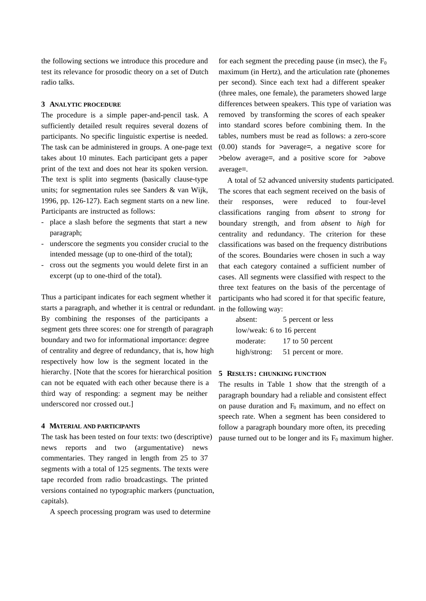the following sections we introduce this procedure and test its relevance for prosodic theory on a set of Dutch radio talks.

## **3 ANALYTIC PROCEDURE**

The procedure is a simple paper-and-pencil task. A sufficiently detailed result requires several dozens of participants. No specific linguistic expertise is needed. The task can be administered in groups. A one-page text takes about 10 minutes. Each participant gets a paper print of the text and does not hear its spoken version. The text is split into segments (basically clause-type units; for segmentation rules see Sanders & van Wijk, 1996, pp. 126-127). Each segment starts on a new line. Participants are instructed as follows:

- place a slash before the segments that start a new paragraph;
- underscore the segments you consider crucial to the intended message (up to one-third of the total);
- cross out the segments you would delete first in an excerpt (up to one-third of the total).

Thus a participant indicates for each segment whether it starts a paragraph, and whether it is central or redundant. in the following way: By combining the responses of the participants a segment gets three scores: one for strength of paragraph boundary and two for informational importance: degree of centrality and degree of redundancy, that is, how high respectively how low is the segment located in the hierarchy. [Note that the scores for hierarchical position can not be equated with each other because there is a third way of responding: a segment may be neither underscored nor crossed out.]

## **4 MATERIAL AND PARTICIPANTS**

The task has been tested on four texts: two (descriptive) news reports and two (argumentative) news commentaries. They ranged in length from 25 to 37 segments with a total of 125 segments. The texts were tape recorded from radio broadcastings. The printed versions contained no typographic markers (punctuation, capitals).

A speech processing program was used to determine

for each segment the preceding pause (in msec), the  $F_0$ maximum (in Hertz), and the articulation rate (phonemes per second). Since each text had a different speaker (three males, one female), the parameters showed large differences between speakers. This type of variation was removed by transforming the scores of each speaker into standard scores before combining them. In the tables, numbers must be read as follows: a zero-score (0.00) stands for >average=, a negative score for >below average=, and a positive score for >above average=.

A total of 52 advanced university students participated. The scores that each segment received on the basis of their responses, were reduced to four-level classifications ranging from *absent* to *strong* for boundary strength, and from *absent* to *high* for centrality and redundancy. The criterion for these classifications was based on the frequency distributions of the scores. Boundaries were chosen in such a way that each category contained a sufficient number of cases. All segments were classified with respect to the three text features on the basis of the percentage of participants who had scored it for that specific feature,

| absent:                   | 5 percent or less   |  |  |  |  |  |
|---------------------------|---------------------|--|--|--|--|--|
| low/weak: 6 to 16 percent |                     |  |  |  |  |  |
| moderate:                 | 17 to 50 percent    |  |  |  |  |  |
| high/strong:              | 51 percent or more. |  |  |  |  |  |

## **5 RESULTS: CHUNKING FUNCTION**

The results in Table 1 show that the strength of a paragraph boundary had a reliable and consistent effect on pause duration and  $F_0$  maximum, and no effect on speech rate. When a segment has been considered to follow a paragraph boundary more often, its preceding pause turned out to be longer and its  $F_0$  maximum higher.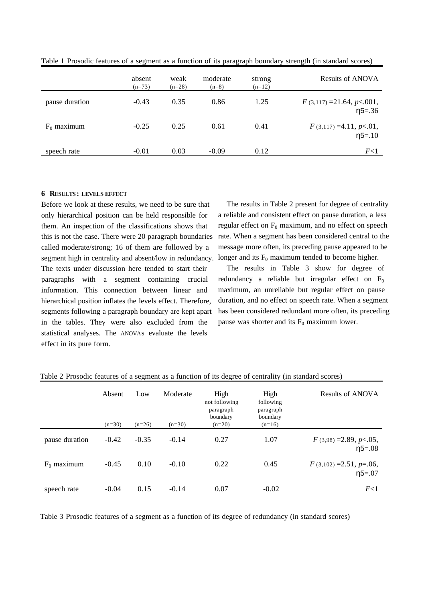|                | absent<br>$(n=73)$ | weak<br>$(n=28)$ | moderate<br>$(n=8)$ | strong<br>$(n=12)$ | <b>Results of ANOVA</b>                      |
|----------------|--------------------|------------------|---------------------|--------------------|----------------------------------------------|
| pause duration | $-0.43$            | 0.35             | 0.86                | 1.25               | $F(3,117) = 21.64, p < 001,$<br>$\eta$ 5=.36 |
| $F_0$ maximum  | $-0.25$            | 0.25             | 0.61                | 0.41               | $F(3,117) = 4.11, p<0.1,$<br>$\eta$ 5=.10    |
| speech rate    | $-0.01$            | 0.03             | $-0.09$             | 0.12               | F<1                                          |

Table 1 Prosodic features of a segment as a function of its paragraph boundary strength (in standard scores)

### **6 RESULTS: LEVELS EFFECT**

Before we look at these results, we need to be sure that only hierarchical position can be held responsible for them. An inspection of the classifications shows that this is not the case. There were 20 paragraph boundaries called moderate/strong; 16 of them are followed by a segment high in centrality and absent/low in redundancy. The texts under discussion here tended to start their paragraphs with a segment containing crucial information. This connection between linear and hierarchical position inflates the levels effect. Therefore, segments following a paragraph boundary are kept apart in the tables. They were also excluded from the statistical analyses. The ANOVAs evaluate the levels effect in its pure form.

The results in Table 2 present for degree of centrality a reliable and consistent effect on pause duration, a less regular effect on  $F_0$  maximum, and no effect on speech rate. When a segment has been considered central to the message more often, its preceding pause appeared to be longer and its  $F_0$  maximum tended to become higher.

The results in Table 3 show for degree of redundancy a reliable but irregular effect on  $F_0$ maximum, an unreliable but regular effect on pause duration, and no effect on speech rate. When a segment has been considered redundant more often, its preceding pause was shorter and its  $F_0$  maximum lower.

|                | Absent<br>$(n=30)$ | Low<br>$(n=26)$ | Moderate<br>$(n=30)$ | High<br>not following<br>paragraph<br>boundary<br>$(n=20)$ | High<br>following<br>paragraph<br>boundary<br>$(n=16)$ | Results of ANOVA                            |
|----------------|--------------------|-----------------|----------------------|------------------------------------------------------------|--------------------------------------------------------|---------------------------------------------|
| pause duration | $-0.42$            | $-0.35$         | $-0.14$              | 0.27                                                       | 1.07                                                   | $F(3,98) = 2.89, p < .05,$<br>$\eta$ 5=.08  |
| $F_0$ maximum  | $-0.45$            | 0.10            | $-0.10$              | 0.22                                                       | 0.45                                                   | $F(3,102) = 2.51, p = .06,$<br>$\eta$ 5=.07 |
| speech rate    | $-0.04$            | 0.15            | $-0.14$              | 0.07                                                       | $-0.02$                                                | F<1                                         |

Table 2 Prosodic features of a segment as a function of its degree of centrality (in standard scores)

Table 3 Prosodic features of a segment as a function of its degree of redundancy (in standard scores)